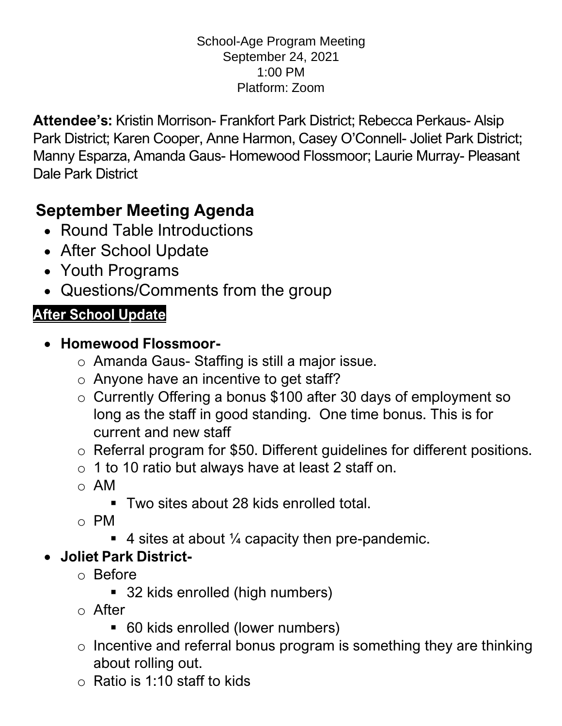#### School-Age Program Meeting September 24, 2021 1:00 PM Platform: Zoom

**Attendee's:** Kristin Morrison- Frankfort Park District; Rebecca Perkaus- Alsip Park District; Karen Cooper, Anne Harmon, Casey O'Connell- Joliet Park District; Manny Esparza, Amanda Gaus- Homewood Flossmoor; Laurie Murray- Pleasant Dale Park District

# **September Meeting Agenda**

- Round Table Introductions
- After School Update
- Youth Programs
- Questions/Comments from the group

# **After School Update**

#### • **Homewood Flossmoor-**

- o Amanda Gaus- Staffing is still a major issue.
- o Anyone have an incentive to get staff?
- o Currently Offering a bonus \$100 after 30 days of employment so long as the staff in good standing. One time bonus. This is for current and new staff
- o Referral program for \$50. Different guidelines for different positions.
- o 1 to 10 ratio but always have at least 2 staff on.
- o AM
	- Two sites about 28 kids enrolled total.
- o PM
	- $\blacksquare$  4 sites at about  $\frac{1}{4}$  capacity then pre-pandemic.

# • **Joliet Park District-**

- o Before
	- 32 kids enrolled (high numbers)
- o After
	- 60 kids enrolled (lower numbers)
- $\circ$  Incentive and referral bonus program is something they are thinking about rolling out.
- $\circ$  Ratio is 1:10 staff to kids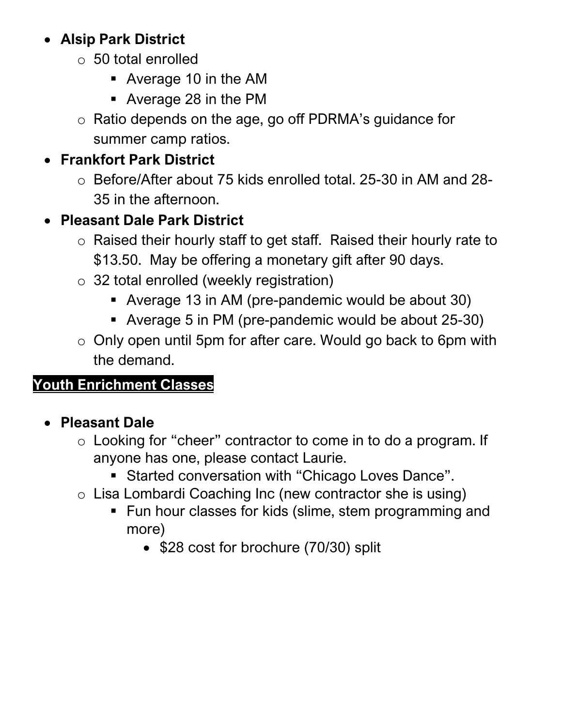## • **Alsip Park District**

- o 50 total enrolled
	- Average 10 in the AM
	- Average 28 in the PM
- o Ratio depends on the age, go off PDRMA's guidance for summer camp ratios.

# • **Frankfort Park District**

o Before/After about 75 kids enrolled total. 25-30 in AM and 28- 35 in the afternoon.

# • **Pleasant Dale Park District**

- o Raised their hourly staff to get staff. Raised their hourly rate to \$13.50. May be offering a monetary gift after 90 days.
- o 32 total enrolled (weekly registration)
	- Average 13 in AM (pre-pandemic would be about 30)
	- Average 5 in PM (pre-pandemic would be about 25-30)
- o Only open until 5pm for after care. Would go back to 6pm with the demand.

## **Youth Enrichment Classes**

## • **Pleasant Dale**

- o Looking for "cheer" contractor to come in to do a program. If anyone has one, please contact Laurie.
	- Started conversation with "Chicago Loves Dance".
- o Lisa Lombardi Coaching Inc (new contractor she is using)
	- Fun hour classes for kids (slime, stem programming and more)
		- \$28 cost for brochure (70/30) split